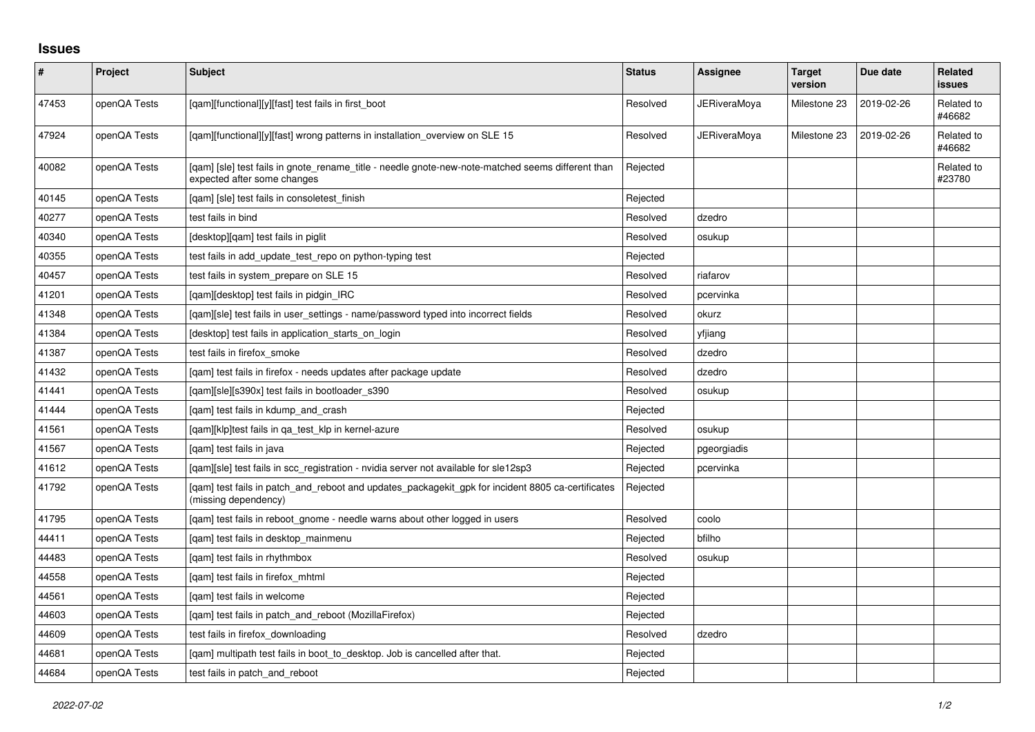## **Issues**

| $\sharp$ | Project      | Subject                                                                                                                          | <b>Status</b> | Assignee            | <b>Target</b><br>version | Due date   | Related<br><b>issues</b> |
|----------|--------------|----------------------------------------------------------------------------------------------------------------------------------|---------------|---------------------|--------------------------|------------|--------------------------|
| 47453    | openQA Tests | [qam][functional][y][fast] test fails in first_boot                                                                              | Resolved      | <b>JERiveraMoya</b> | Milestone 23             | 2019-02-26 | Related to<br>#46682     |
| 47924    | openQA Tests | [qam][functional][y][fast] wrong patterns in installation_overview on SLE 15                                                     | Resolved      | <b>JERiveraMoya</b> | Milestone 23             | 2019-02-26 | Related to<br>#46682     |
| 40082    | openQA Tests | [gam] [sle] test fails in gnote rename title - needle gnote-new-note-matched seems different than<br>expected after some changes | Rejected      |                     |                          |            | Related to<br>#23780     |
| 40145    | openQA Tests | [qam] [sle] test fails in consoletest_finish                                                                                     | Rejected      |                     |                          |            |                          |
| 40277    | openQA Tests | test fails in bind                                                                                                               | Resolved      | dzedro              |                          |            |                          |
| 40340    | openQA Tests | [desktop][qam] test fails in piglit                                                                                              | Resolved      | osukup              |                          |            |                          |
| 40355    | openQA Tests | test fails in add update test repo on python-typing test                                                                         | Rejected      |                     |                          |            |                          |
| 40457    | openQA Tests | test fails in system_prepare on SLE 15                                                                                           | Resolved      | riafarov            |                          |            |                          |
| 41201    | openQA Tests | [gam][desktop] test fails in pidgin IRC                                                                                          | Resolved      | pcervinka           |                          |            |                          |
| 41348    | openQA Tests | [qam][sle] test fails in user_settings - name/password typed into incorrect fields                                               | Resolved      | okurz               |                          |            |                          |
| 41384    | openQA Tests | [desktop] test fails in application_starts_on_login                                                                              | Resolved      | yfjiang             |                          |            |                          |
| 41387    | openQA Tests | test fails in firefox_smoke                                                                                                      | Resolved      | dzedro              |                          |            |                          |
| 41432    | openQA Tests | [gam] test fails in firefox - needs updates after package update                                                                 | Resolved      | dzedro              |                          |            |                          |
| 41441    | openQA Tests | [gam][sle][s390x] test fails in bootloader s390                                                                                  | Resolved      | osukup              |                          |            |                          |
| 41444    | openQA Tests | [gam] test fails in kdump and crash                                                                                              | Rejected      |                     |                          |            |                          |
| 41561    | openQA Tests | [gam][klp]test fails in ga test klp in kernel-azure                                                                              | Resolved      | osukup              |                          |            |                          |
| 41567    | openQA Tests | [qam] test fails in java                                                                                                         | Rejected      | pgeorgiadis         |                          |            |                          |
| 41612    | openQA Tests | [gam][sle] test fails in scc registration - nvidia server not available for sle12sp3                                             | Rejected      | pcervinka           |                          |            |                          |
| 41792    | openQA Tests | [qam] test fails in patch_and_reboot and updates_packagekit_gpk for incident 8805 ca-certificates<br>(missing dependency)        | Rejected      |                     |                          |            |                          |
| 41795    | openQA Tests | [gam] test fails in reboot gnome - needle warns about other logged in users                                                      | Resolved      | coolo               |                          |            |                          |
| 44411    | openQA Tests | [qam] test fails in desktop_mainmenu                                                                                             | Rejected      | bfilho              |                          |            |                          |
| 44483    | openQA Tests | [gam] test fails in rhythmbox                                                                                                    | Resolved      | osukup              |                          |            |                          |
| 44558    | openQA Tests | [qam] test fails in firefox_mhtml                                                                                                | Rejected      |                     |                          |            |                          |
| 44561    | openQA Tests | [qam] test fails in welcome                                                                                                      | Rejected      |                     |                          |            |                          |
| 44603    | openQA Tests | [qam] test fails in patch_and_reboot (MozillaFirefox)                                                                            | Rejected      |                     |                          |            |                          |
| 44609    | openQA Tests | test fails in firefox downloading                                                                                                | Resolved      | dzedro              |                          |            |                          |
| 44681    | openQA Tests | [qam] multipath test fails in boot_to_desktop. Job is cancelled after that.                                                      | Rejected      |                     |                          |            |                          |
| 44684    | openQA Tests | test fails in patch and reboot                                                                                                   | Rejected      |                     |                          |            |                          |